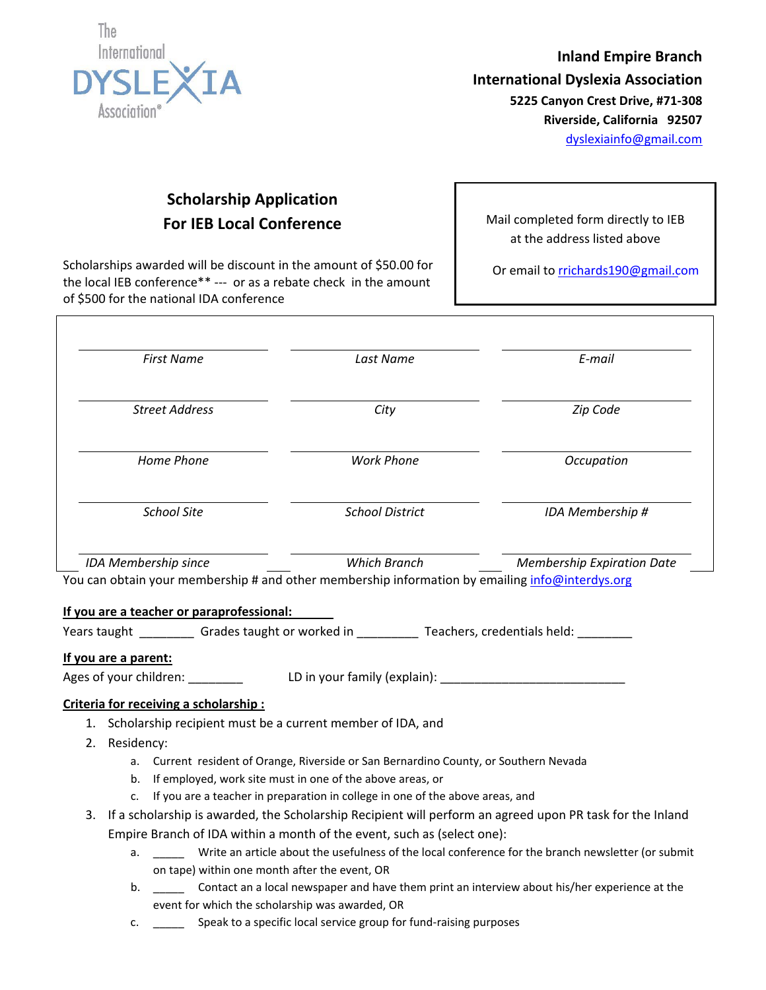

**Inland Empire Branch International Dyslexia Association 5225 Canyon Crest Drive, #71‐308 Riverside, California 92507** dyslexiainfo@gmail.com

# **Scholarship Application For IEB Local Conference**

Scholarships awarded will be discount in the amount of \$50.00 for the local IEB conference\*\* ‐‐‐ or as a rebate check in the amount of \$500 for the national IDA conference

Mail completed form directly to IEB at the address listed above

Or email to rrichards190@gmail.com

| <b>First Name</b>     | Last Name              | E-mail                                                                                                                               |  |
|-----------------------|------------------------|--------------------------------------------------------------------------------------------------------------------------------------|--|
| <b>Street Address</b> | City                   | Zip Code                                                                                                                             |  |
| Home Phone            | <b>Work Phone</b>      | Occupation                                                                                                                           |  |
| <b>School Site</b>    | <b>School District</b> | IDA Membership #                                                                                                                     |  |
| IDA Membership since  | Which Branch           | <b>Membership Expiration Date</b><br>You can obtain your membership # and other membership information by emailing info@interdys.org |  |

Years taught \_\_\_\_\_\_\_\_\_\_ Grades taught or worked in \_\_\_\_\_\_\_\_\_\_\_ Teachers, credentials held: \_\_\_\_\_\_\_\_

## **If you are a parent:**

Г

Ages of your children: \_\_\_\_\_\_\_\_ LD in your family (explain): \_\_\_\_\_\_\_\_\_\_\_\_\_\_\_\_\_\_\_\_\_\_\_\_\_\_\_

## **Criteria for receiving a scholarship :**

- 1. Scholarship recipient must be a current member of IDA, and
- 2. Residency:
	- a. Current resident of Orange, Riverside or San Bernardino County, or Southern Nevada
	- b. If employed, work site must in one of the above areas, or
	- c. If you are a teacher in preparation in college in one of the above areas, and
- 3. If a scholarship is awarded, the Scholarship Recipient will perform an agreed upon PR task for the Inland Empire Branch of IDA within a month of the event, such as (select one):
	- a. \_\_\_\_\_ Write an article about the usefulness of the local conference for the branch newsletter (or submit on tape) within one month after the event, OR
	- b. \_\_\_\_\_ Contact an a local newspaper and have them print an interview about his/her experience at the event for which the scholarship was awarded, OR
	- c. \_\_\_\_\_ Speak to a specific local service group for fund‐raising purposes